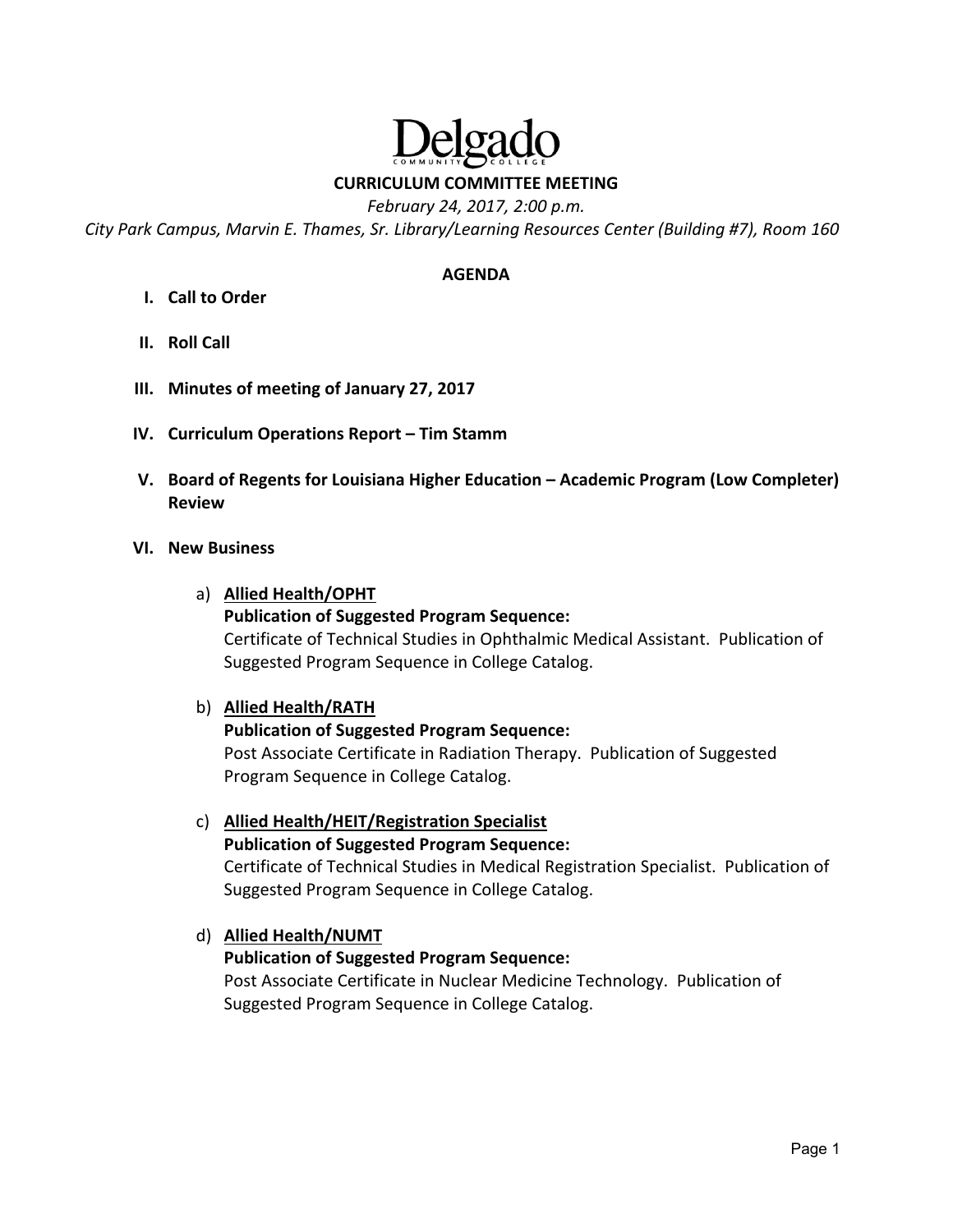# elga

**CURRICULUM COMMITTEE MEETING** 

*February 24, 2017, 2:00 p.m.* 

*City Park Campus, Marvin E. Thames, Sr. Library/Learning Resources Center (Building #7), Room 160* 

#### **AGENDA**

- **I. Call to Order**
- **II. Roll Call**
- **III. Minutes of meeting of January 27, 2017**
- **IV. Curriculum Operations Report Tim Stamm**
- **V. Board of Regents for Louisiana Higher Education Academic Program (Low Completer) Review**

#### **VI. New Business**

a) **Allied Health/OPHT** 

**Publication of Suggested Program Sequence:** Certificate of Technical Studies in Ophthalmic Medical Assistant. Publication of Suggested Program Sequence in College Catalog.

#### b) **Allied Health/RATH**

#### **Publication of Suggested Program Sequence:**

Post Associate Certificate in Radiation Therapy. Publication of Suggested Program Sequence in College Catalog.

c) **Allied Health/HEIT/Registration Specialist Publication of Suggested Program Sequence:** Certificate of Technical Studies in Medical Registration Specialist. Publication of Suggested Program Sequence in College Catalog.

# d) **Allied Health/NUMT**

#### **Publication of Suggested Program Sequence:**

Post Associate Certificate in Nuclear Medicine Technology. Publication of Suggested Program Sequence in College Catalog.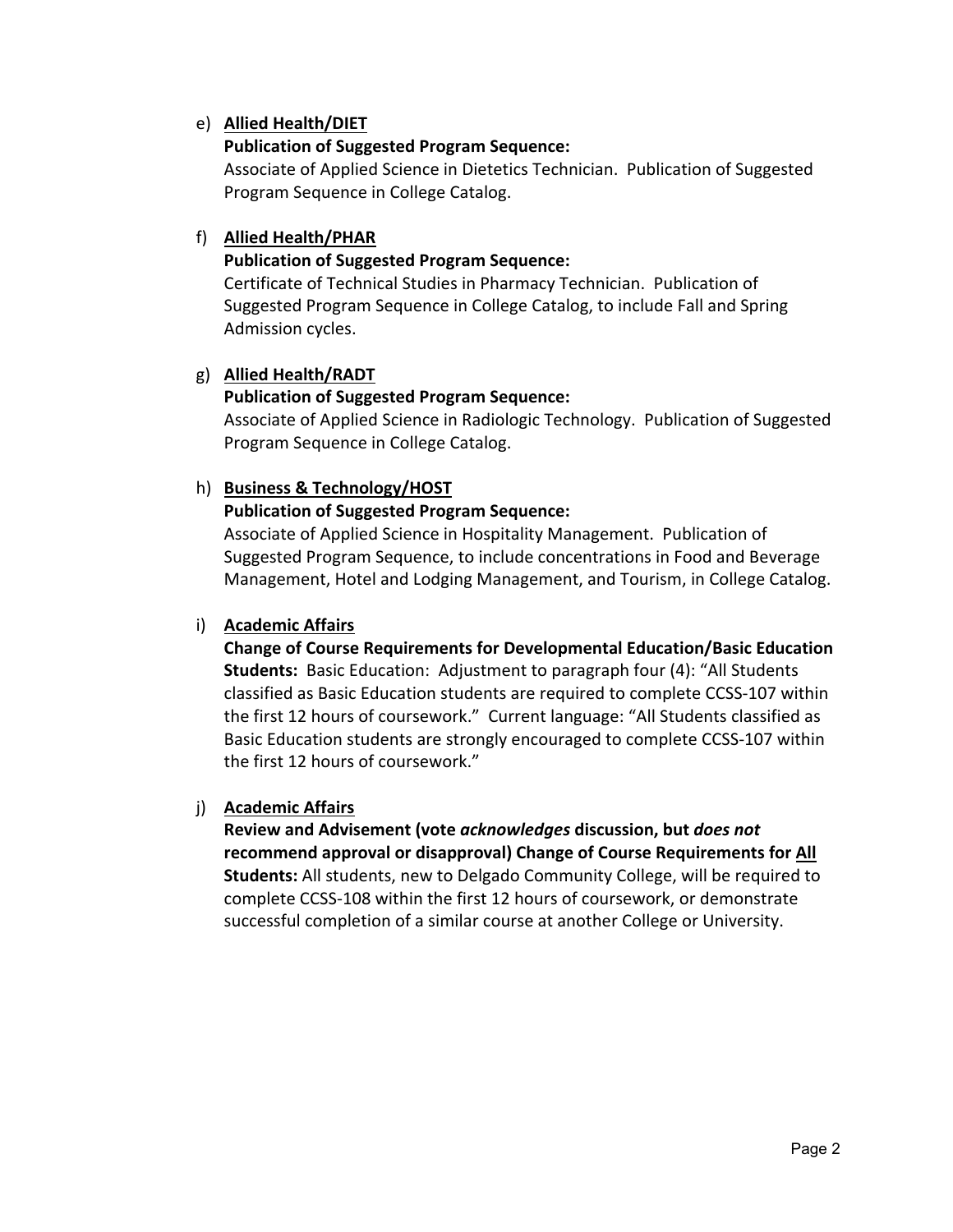## e) **Allied Health/DIET**

## **Publication of Suggested Program Sequence:**

Associate of Applied Science in Dietetics Technician. Publication of Suggested Program Sequence in College Catalog.

## f) **Allied Health/PHAR**

## **Publication of Suggested Program Sequence:**

Certificate of Technical Studies in Pharmacy Technician. Publication of Suggested Program Sequence in College Catalog, to include Fall and Spring Admission cycles.

## g) **Allied Health/RADT**

## **Publication of Suggested Program Sequence:**

Associate of Applied Science in Radiologic Technology. Publication of Suggested Program Sequence in College Catalog.

## h) **Business & Technology/HOST**

## **Publication of Suggested Program Sequence:**

Associate of Applied Science in Hospitality Management. Publication of Suggested Program Sequence, to include concentrations in Food and Beverage Management, Hotel and Lodging Management, and Tourism, in College Catalog.

## i) **Academic Affairs**

**Change of Course Requirements for Developmental Education/Basic Education Students:** Basic Education: Adjustment to paragraph four (4): "All Students classified as Basic Education students are required to complete CCSS‐107 within the first 12 hours of coursework." Current language: "All Students classified as Basic Education students are strongly encouraged to complete CCSS‐107 within the first 12 hours of coursework."

#### j) **Academic Affairs**

**Review and Advisement (vote** *acknowledges* **discussion, but** *does not* **recommend approval or disapproval) Change of Course Requirements for All Students:** All students, new to Delgado Community College, will be required to complete CCSS‐108 within the first 12 hours of coursework, or demonstrate successful completion of a similar course at another College or University.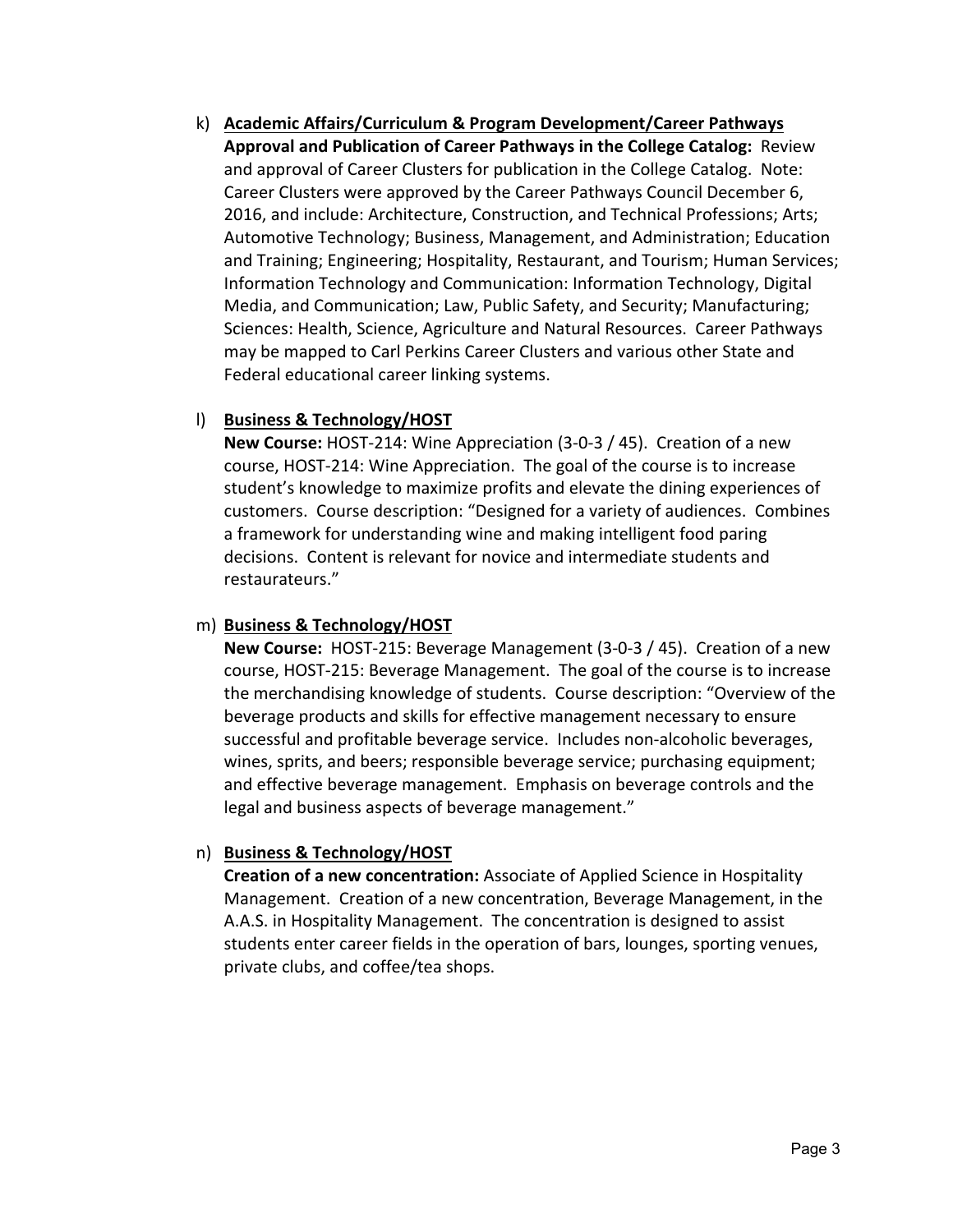k) **Academic Affairs/Curriculum & Program Development/Career Pathways Approval and Publication of Career Pathways in the College Catalog:** Review and approval of Career Clusters for publication in the College Catalog. Note: Career Clusters were approved by the Career Pathways Council December 6, 2016, and include: Architecture, Construction, and Technical Professions; Arts; Automotive Technology; Business, Management, and Administration; Education and Training; Engineering; Hospitality, Restaurant, and Tourism; Human Services; Information Technology and Communication: Information Technology, Digital Media, and Communication; Law, Public Safety, and Security; Manufacturing; Sciences: Health, Science, Agriculture and Natural Resources. Career Pathways may be mapped to Carl Perkins Career Clusters and various other State and Federal educational career linking systems.

## l) **Business & Technology/HOST**

**New Course:** HOST‐214: Wine Appreciation (3‐0‐3 / 45). Creation of a new course, HOST‐214: Wine Appreciation. The goal of the course is to increase student's knowledge to maximize profits and elevate the dining experiences of customers. Course description: "Designed for a variety of audiences. Combines a framework for understanding wine and making intelligent food paring decisions. Content is relevant for novice and intermediate students and restaurateurs."

#### m) **Business & Technology/HOST**

**New Course:** HOST-215: Beverage Management (3-0-3 / 45). Creation of a new course, HOST‐215: Beverage Management. The goal of the course is to increase the merchandising knowledge of students. Course description: "Overview of the beverage products and skills for effective management necessary to ensure successful and profitable beverage service. Includes non‐alcoholic beverages, wines, sprits, and beers; responsible beverage service; purchasing equipment; and effective beverage management. Emphasis on beverage controls and the legal and business aspects of beverage management."

## n) **Business & Technology/HOST**

**Creation of a new concentration:** Associate of Applied Science in Hospitality Management. Creation of a new concentration, Beverage Management, in the A.A.S. in Hospitality Management. The concentration is designed to assist students enter career fields in the operation of bars, lounges, sporting venues, private clubs, and coffee/tea shops.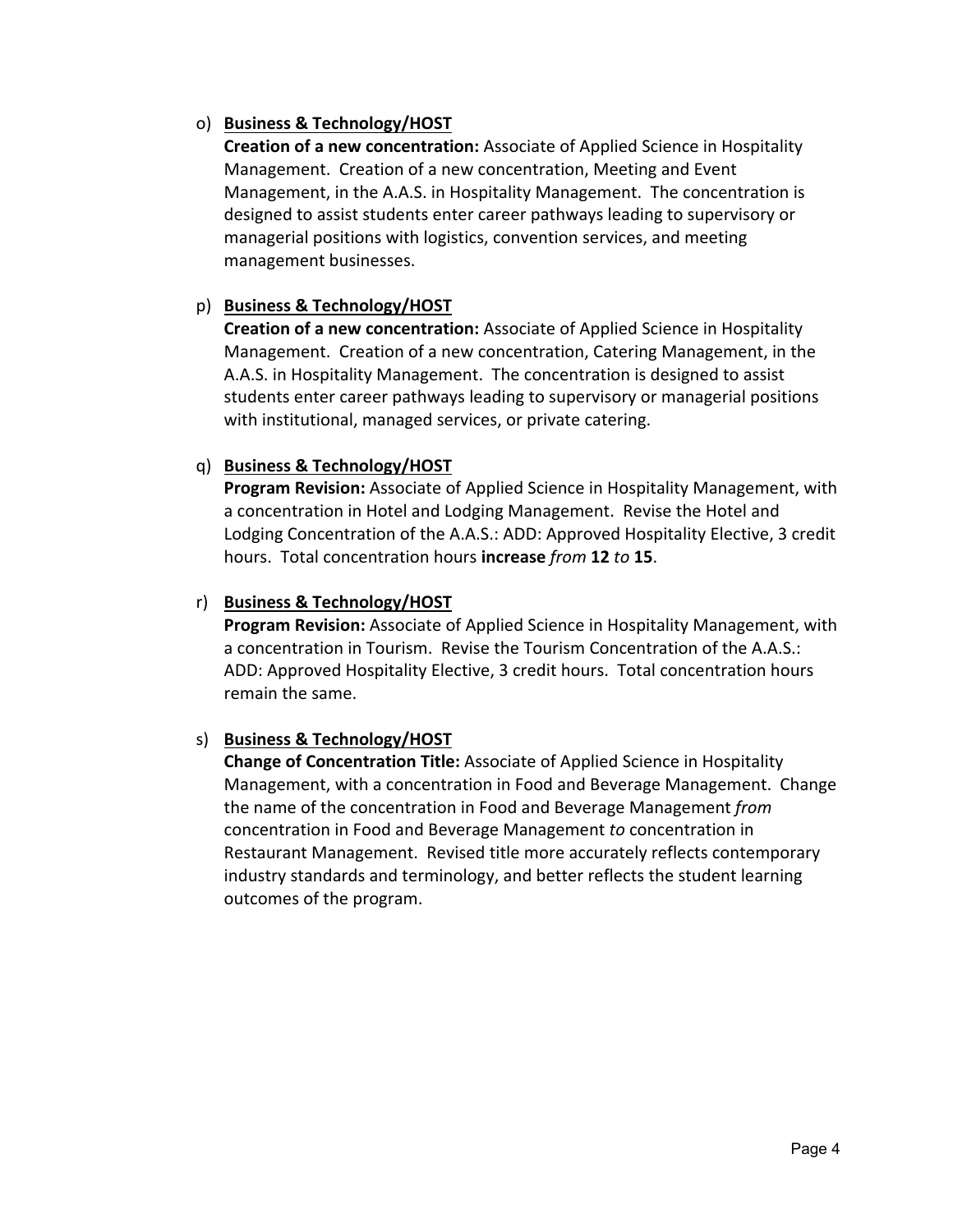## o) **Business & Technology/HOST**

**Creation of a new concentration:** Associate of Applied Science in Hospitality Management. Creation of a new concentration, Meeting and Event Management, in the A.A.S. in Hospitality Management. The concentration is designed to assist students enter career pathways leading to supervisory or managerial positions with logistics, convention services, and meeting management businesses.

## p) **Business & Technology/HOST**

**Creation of a new concentration:** Associate of Applied Science in Hospitality Management. Creation of a new concentration, Catering Management, in the A.A.S. in Hospitality Management. The concentration is designed to assist students enter career pathways leading to supervisory or managerial positions with institutional, managed services, or private catering.

## q) **Business & Technology/HOST**

**Program Revision:** Associate of Applied Science in Hospitality Management, with a concentration in Hotel and Lodging Management. Revise the Hotel and Lodging Concentration of the A.A.S.: ADD: Approved Hospitality Elective, 3 credit hours. Total concentration hours **increase** *from* **12** *to* **15**.

## r) **Business & Technology/HOST**

**Program Revision:** Associate of Applied Science in Hospitality Management, with a concentration in Tourism. Revise the Tourism Concentration of the A.A.S.: ADD: Approved Hospitality Elective, 3 credit hours. Total concentration hours remain the same.

#### s) **Business & Technology/HOST**

**Change of Concentration Title:** Associate of Applied Science in Hospitality Management, with a concentration in Food and Beverage Management. Change the name of the concentration in Food and Beverage Management *from*  concentration in Food and Beverage Management *to* concentration in Restaurant Management. Revised title more accurately reflects contemporary industry standards and terminology, and better reflects the student learning outcomes of the program.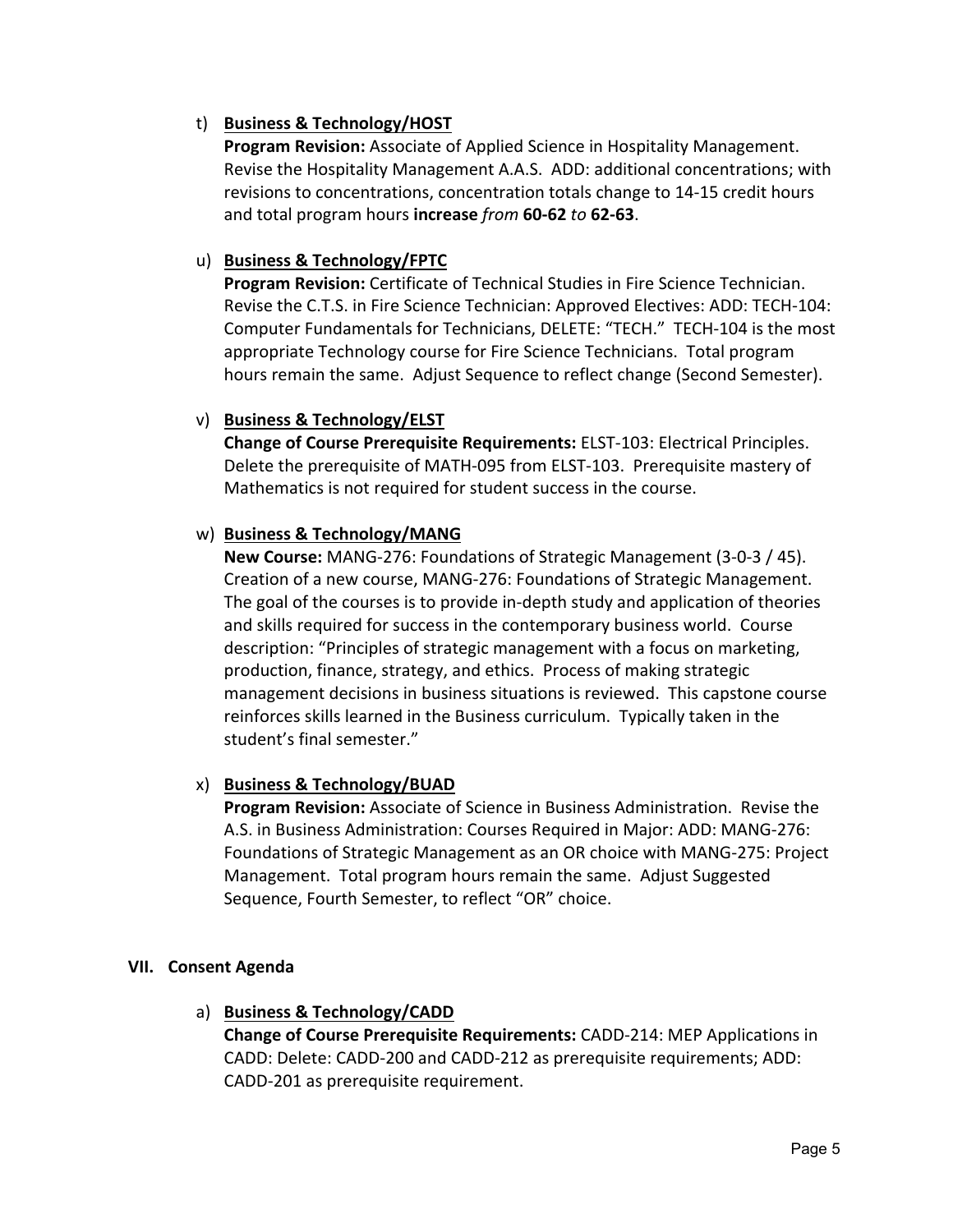## t) **Business & Technology/HOST**

**Program Revision:** Associate of Applied Science in Hospitality Management. Revise the Hospitality Management A.A.S. ADD: additional concentrations; with revisions to concentrations, concentration totals change to 14‐15 credit hours and total program hours **increase** *from* **60‐62** *to* **62‐63**.

## u) **Business & Technology/FPTC**

**Program Revision:** Certificate of Technical Studies in Fire Science Technician. Revise the C.T.S. in Fire Science Technician: Approved Electives: ADD: TECH‐104: Computer Fundamentals for Technicians, DELETE: "TECH." TECH‐104 is the most appropriate Technology course for Fire Science Technicians. Total program hours remain the same. Adjust Sequence to reflect change (Second Semester).

#### v) **Business & Technology/ELST**

**Change of Course Prerequisite Requirements:** ELST‐103: Electrical Principles. Delete the prerequisite of MATH‐095 from ELST‐103. Prerequisite mastery of Mathematics is not required for student success in the course.

## w) **Business & Technology/MANG**

**New Course:** MANG‐276: Foundations of Strategic Management (3‐0‐3 / 45). Creation of a new course, MANG‐276: Foundations of Strategic Management. The goal of the courses is to provide in‐depth study and application of theories and skills required for success in the contemporary business world. Course description: "Principles of strategic management with a focus on marketing, production, finance, strategy, and ethics. Process of making strategic management decisions in business situations is reviewed. This capstone course reinforces skills learned in the Business curriculum. Typically taken in the student's final semester."

#### x) **Business & Technology/BUAD**

**Program Revision:** Associate of Science in Business Administration. Revise the A.S. in Business Administration: Courses Required in Major: ADD: MANG‐276: Foundations of Strategic Management as an OR choice with MANG‐275: Project Management. Total program hours remain the same. Adjust Suggested Sequence, Fourth Semester, to reflect "OR" choice.

#### **VII. Consent Agenda**

#### a) **Business & Technology/CADD**

**Change of Course Prerequisite Requirements:** CADD‐214: MEP Applications in CADD: Delete: CADD‐200 and CADD‐212 as prerequisite requirements; ADD: CADD‐201 as prerequisite requirement.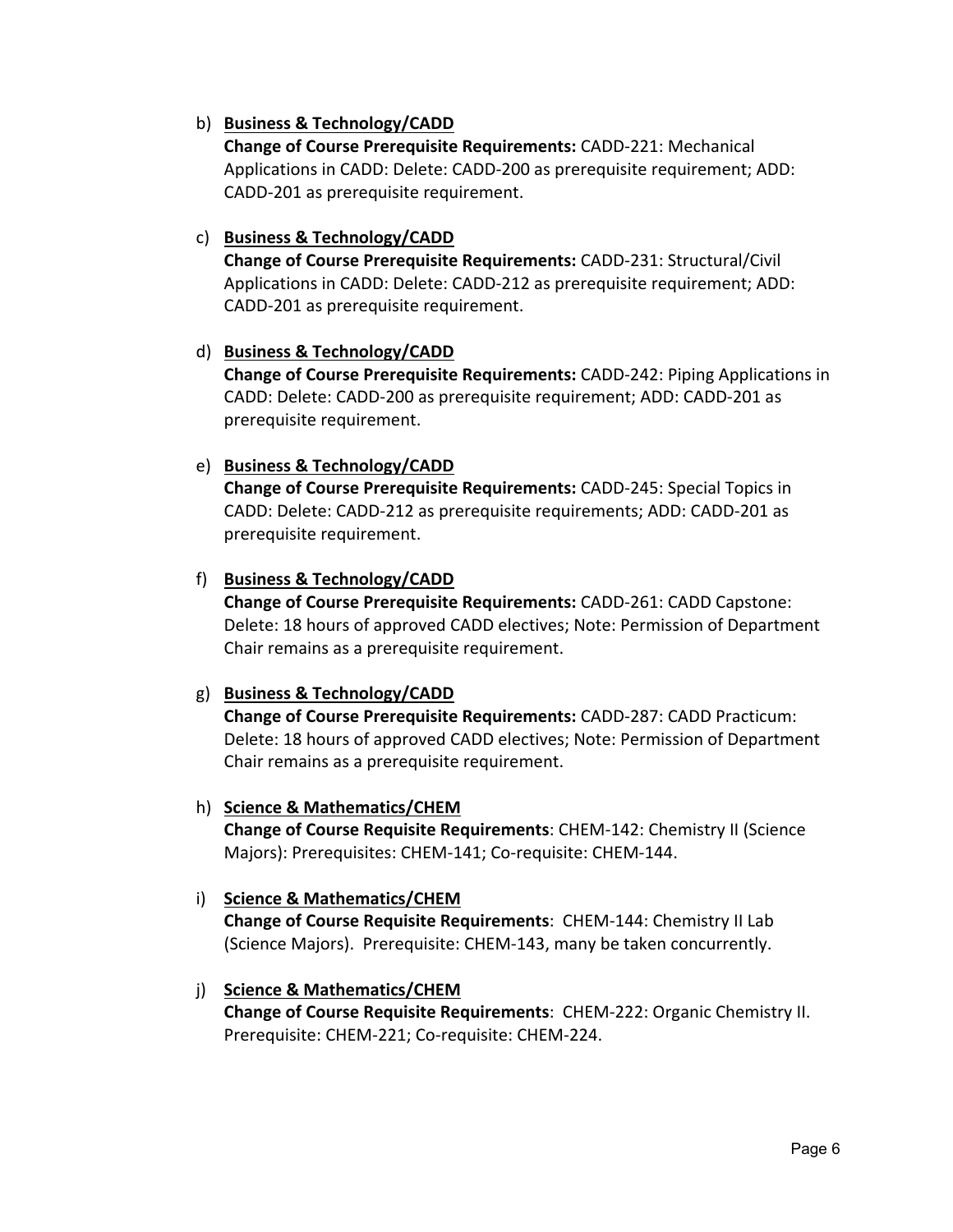## b) **Business & Technology/CADD**

**Change of Course Prerequisite Requirements:** CADD‐221: Mechanical Applications in CADD: Delete: CADD‐200 as prerequisite requirement; ADD: CADD‐201 as prerequisite requirement.

#### c) **Business & Technology/CADD**

**Change of Course Prerequisite Requirements:** CADD‐231: Structural/Civil Applications in CADD: Delete: CADD‐212 as prerequisite requirement; ADD: CADD‐201 as prerequisite requirement.

#### d) **Business & Technology/CADD**

**Change of Course Prerequisite Requirements:** CADD‐242: Piping Applications in CADD: Delete: CADD‐200 as prerequisite requirement; ADD: CADD‐201 as prerequisite requirement.

#### e) **Business & Technology/CADD**

**Change of Course Prerequisite Requirements:** CADD‐245: Special Topics in CADD: Delete: CADD‐212 as prerequisite requirements; ADD: CADD‐201 as prerequisite requirement.

#### f) **Business & Technology/CADD**

**Change of Course Prerequisite Requirements:** CADD‐261: CADD Capstone: Delete: 18 hours of approved CADD electives; Note: Permission of Department Chair remains as a prerequisite requirement.

#### g) **Business & Technology/CADD**

**Change of Course Prerequisite Requirements:** CADD‐287: CADD Practicum: Delete: 18 hours of approved CADD electives; Note: Permission of Department Chair remains as a prerequisite requirement.

#### h) **Science & Mathematics/CHEM**

**Change of Course Requisite Requirements**: CHEM‐142: Chemistry II (Science Majors): Prerequisites: CHEM‐141; Co‐requisite: CHEM‐144.

#### i) **Science & Mathematics/CHEM**

**Change of Course Requisite Requirements**: CHEM‐144: Chemistry II Lab (Science Majors). Prerequisite: CHEM‐143, many be taken concurrently.

#### j) **Science & Mathematics/CHEM**

**Change of Course Requisite Requirements**: CHEM‐222: Organic Chemistry II. Prerequisite: CHEM‐221; Co‐requisite: CHEM‐224.